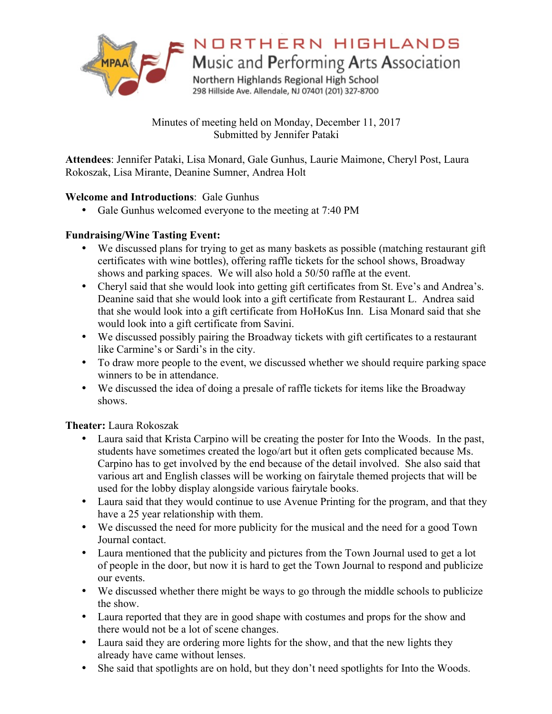

# NORTHERN HIGHLANDS

Music and Performing Arts Association

Northern Highlands Regional High School 298 Hillside Ave. Allendale, NJ 07401 (201) 327-8700

Minutes of meeting held on Monday, December 11, 2017 Submitted by Jennifer Pataki

**Attendees**: Jennifer Pataki, Lisa Monard, Gale Gunhus, Laurie Maimone, Cheryl Post, Laura Rokoszak, Lisa Mirante, Deanine Sumner, Andrea Holt

## **Welcome and Introductions**: Gale Gunhus

• Gale Gunhus welcomed everyone to the meeting at 7:40 PM

# **Fundraising/Wine Tasting Event:**

- We discussed plans for trying to get as many baskets as possible (matching restaurant gift certificates with wine bottles), offering raffle tickets for the school shows, Broadway shows and parking spaces. We will also hold a 50/50 raffle at the event.
- Cheryl said that she would look into getting gift certificates from St. Eve's and Andrea's. Deanine said that she would look into a gift certificate from Restaurant L. Andrea said that she would look into a gift certificate from HoHoKus Inn. Lisa Monard said that she would look into a gift certificate from Savini.
- We discussed possibly pairing the Broadway tickets with gift certificates to a restaurant like Carmine's or Sardi's in the city.
- To draw more people to the event, we discussed whether we should require parking space winners to be in attendance.
- We discussed the idea of doing a presale of raffle tickets for items like the Broadway shows.

**Theater:** Laura Rokoszak

- Laura said that Krista Carpino will be creating the poster for Into the Woods. In the past, students have sometimes created the logo/art but it often gets complicated because Ms. Carpino has to get involved by the end because of the detail involved. She also said that various art and English classes will be working on fairytale themed projects that will be used for the lobby display alongside various fairytale books.
- Laura said that they would continue to use Avenue Printing for the program, and that they have a 25 year relationship with them.
- We discussed the need for more publicity for the musical and the need for a good Town Journal contact.
- Laura mentioned that the publicity and pictures from the Town Journal used to get a lot of people in the door, but now it is hard to get the Town Journal to respond and publicize our events.
- We discussed whether there might be ways to go through the middle schools to publicize the show.
- Laura reported that they are in good shape with costumes and props for the show and there would not be a lot of scene changes.
- Laura said they are ordering more lights for the show, and that the new lights they already have came without lenses.
- She said that spotlights are on hold, but they don't need spotlights for Into the Woods.